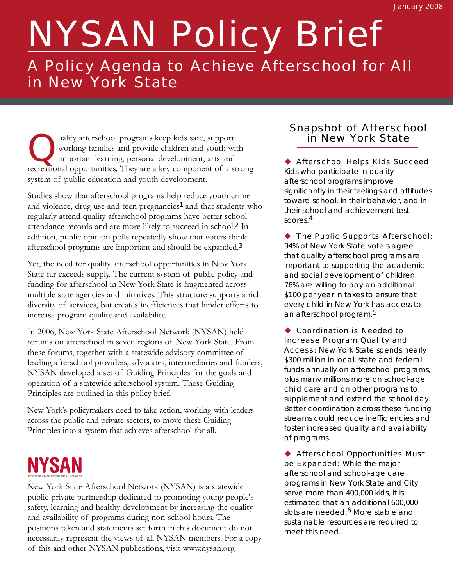# NYSAN Policy Brief

### A Policy Agenda to Achieve Afterschool for All in New York State

uality afterschool programs keep kids safe, support working families and provide children and youth with important learning, personal development, arts and recreational opportunities. They are a key component of a strong system of public education and youth development.

Studies show that afterschool programs help reduce youth crime and violence, drug use and teen pregnancies<sup>1</sup> and that students who regularly attend quality afterschool programs have better school attendance records and are more likely to succeed in school.<sup>2</sup> In addition, public opinion polls repeatedly show that voters think afterschool programs are important and should be expanded.<sup>3</sup>

Yet, the need for quality afterschool opportunities in New York State far exceeds supply. The current system of public policy and funding for afterschool in New York State is fragmented across multiple state agencies and initiatives. This structure supports a rich diversity of services, but creates inefficiences that hinder efforts to increase program quality and availability.

In 2006, New York State Afterschool Network (NYSAN) held forums on afterschool in seven regions of New York State. From these forums, together with a statewide advisory committee of leading afterschool providers, advocates, intermediaries and funders, NYSAN developed a set of Guiding Principles for the goals and operation of a statewide afterschool system. These Guiding Principles are outlined in this policy brief.

New York's policymakers need to take action, working with leaders across the public and private sectors, to move these Guiding Principles into a system that achieves afterschool for all.

## NYSAN

New York State Afterschool Network (NYSAN) is a statewide public-private partnership dedicated to promoting young people's safety, learning and healthy development by increasing the quality and availability of programs during non-school hours. The positions taken and statements set forth in this document do not necessarily represent the views of all NYSAN members. For a copy of this and other NYSAN publications, visit www.nysan.org.

#### Snapshot of Afterschool in New York State

◆ Afterschool Helps Kids Succeed: Kids who participate in quality afterschool programs improve significantly in their feelings and attitudes toward school, in their behavior, and in their school and achievement test scores.4

◆ The Public Supports Afterschool: 94% of New York State voters agree that quality afterschool programs are important to supporting the academic and social development of children. 76% are willing to pay an additional \$100 per year in taxes to ensure that every child in New York has access to an afterschool program.5

◆ Coordination is Needed to Increase Program Quality and Access: New York State spends nearly \$300 million in local, state and federal funds annually on afterschool programs, plus many millions more on school-age child care and on other programs to supplement and extend the school day. Better coordination across these funding streams could reduce inefficiencies and foster increased quality and availability of programs.

◆ Afterschool Opportunities Must be Expanded: While the major afterschool and school-age care programs in New York State and City serve more than 400,000 kids, it is estimated that an additional 600,000 slots are needed.<sup>6</sup> More stable and sustainable resources are required to meet this need.